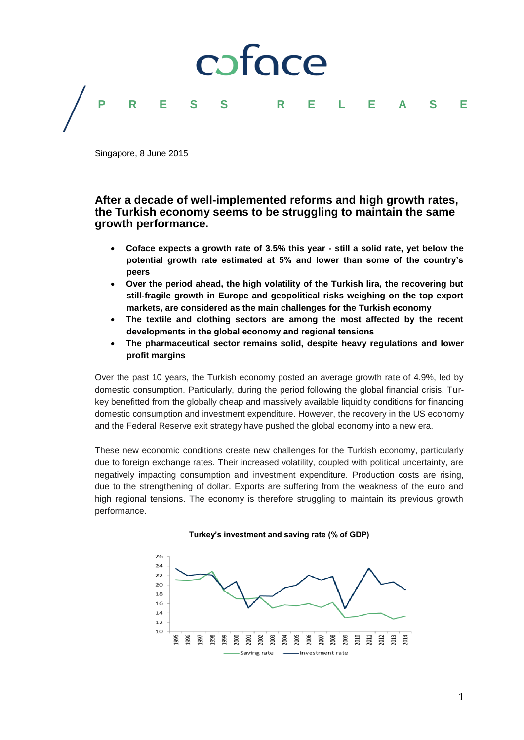

Singapore, 8 June 2015

### **After a decade of well-implemented reforms and high growth rates, the Turkish economy seems to be struggling to maintain the same growth performance.**

- **Coface expects a growth rate of 3.5% this year - still a solid rate, yet below the potential growth rate estimated at 5% and lower than some of the country's peers**
- **Over the period ahead, the high volatility of the Turkish lira, the recovering but still-fragile growth in Europe and geopolitical risks weighing on the top export markets, are considered as the main challenges for the Turkish economy**
- **The textile and clothing sectors are among the most affected by the recent developments in the global economy and regional tensions**
- **The pharmaceutical sector remains solid, despite heavy regulations and lower profit margins**

Over the past 10 years, the Turkish economy posted an average growth rate of 4.9%, led by domestic consumption. Particularly, during the period following the global financial crisis, Turkey benefitted from the globally cheap and massively available liquidity conditions for financing domestic consumption and investment expenditure. However, the recovery in the US economy and the Federal Reserve exit strategy have pushed the global economy into a new era.

These new economic conditions create new challenges for the Turkish economy, particularly due to foreign exchange rates. Their increased volatility, coupled with political uncertainty, are negatively impacting consumption and investment expenditure. Production costs are rising, due to the strengthening of dollar. Exports are suffering from the weakness of the euro and high regional tensions. The economy is therefore struggling to maintain its previous growth performance.

### **Turkey's investment and saving rate (% of GDP)**

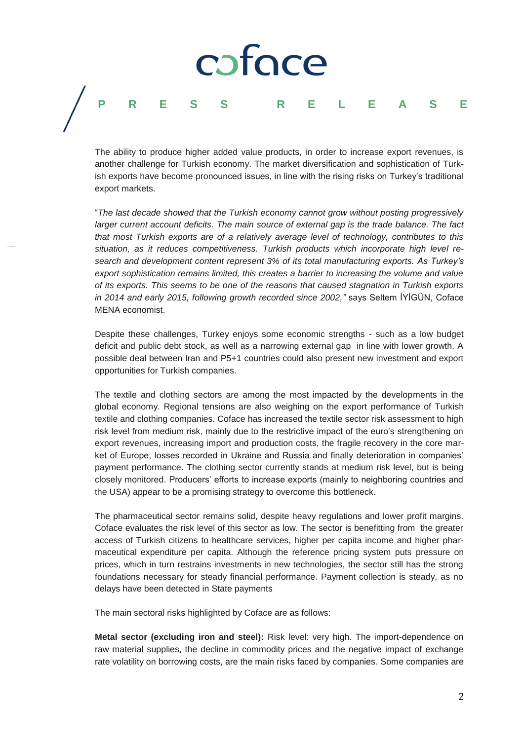## coface **PRESS R E L E A S E**

The ability to produce higher added value products, in order to increase export revenues, is another challenge for Turkish economy. The market diversification and sophistication of Turkish exports have become pronounced issues, in line with the rising risks on Turkey's traditional export markets.

"*The last decade showed that the Turkish economy cannot grow without posting progressively larger current account deficits. The main source of external gap is the trade balance. The fact that most Turkish exports are of a relatively average level of technology, contributes to this situation, as it reduces competitiveness. Turkish products which incorporate high level research and development content represent 3% of its total manufacturing exports. As Turkey's export sophistication remains limited, this creates a barrier to increasing the volume and value of its exports. This seems to be one of the reasons that caused stagnation in Turkish exports in 2014 and early 2015, following growth recorded since 2002,"* says Seltem İYİGÜN, Coface MENA economist.

Despite these challenges, Turkey enjoys some economic strengths - such as a low budget deficit and public debt stock, as well as a narrowing external gap in line with lower growth. A possible deal between Iran and P5+1 countries could also present new investment and export opportunities for Turkish companies.

The textile and clothing sectors are among the most impacted by the developments in the global economy. Regional tensions are also weighing on the export performance of Turkish textile and clothing companies. Coface has increased the textile sector risk assessment to high risk level from medium risk, mainly due to the restrictive impact of the euro's strengthening on export revenues, increasing import and production costs, the fragile recovery in the core market of Europe, losses recorded in Ukraine and Russia and finally deterioration in companies' payment performance. The clothing sector currently stands at medium risk level, but is being closely monitored. Producers' efforts to increase exports (mainly to neighboring countries and the USA) appear to be a promising strategy to overcome this bottleneck.

The pharmaceutical sector remains solid, despite heavy regulations and lower profit margins. Coface evaluates the risk level of this sector as low. The sector is benefitting from the greater access of Turkish citizens to healthcare services, higher per capita income and higher pharmaceutical expenditure per capita. Although the reference pricing system puts pressure on prices, which in turn restrains investments in new technologies, the sector still has the strong foundations necessary for steady financial performance. Payment collection is steady, as no delays have been detected in State payments

The main sectoral risks highlighted by Coface are as follows:

**Metal sector (excluding iron and steel):** Risk level: very high. The import-dependence on raw material supplies, the decline in commodity prices and the negative impact of exchange rate volatility on borrowing costs, are the main risks faced by companies. Some companies are